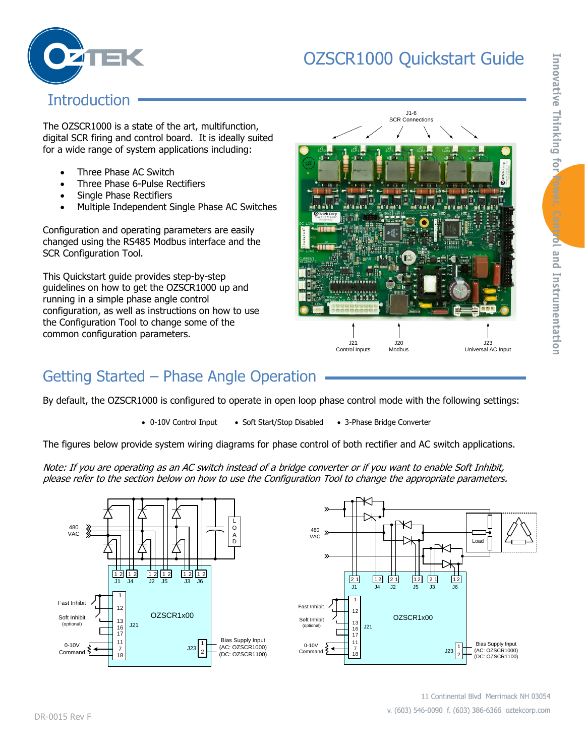# OZSCR1000 Quickstart Guide



### **Introduction**

The OZSCR1000 is a state of the art, multifunction, digital SCR firing and control board. It is ideally suited for a wide range of system applications including:

- Three Phase AC Switch
- Three Phase 6-Pulse Rectifiers
- Single Phase Rectifiers
- Multiple Independent Single Phase AC Switches

Configuration and operating parameters are easily changed using the RS485 Modbus interface and the SCR Configuration Tool.

This Quickstart guide provides step-by-step guidelines on how to get the OZSCR1000 up and running in a simple phase angle control configuration, as well as instructions on how to use the Configuration Tool to change some of the common configuration parameters.



## Getting Started – Phase Angle Operation

By default, the OZSCR1000 is configured to operate in open loop phase control mode with the following settings:

• 0-10V Control Input • Soft Start/Stop Disabled • 3-Phase Bridge Converter

The figures below provide system wiring diagrams for phase control of both rectifier and AC switch applications.

Note: If you are operating as an AC switch instead of a bridge converter or if you want to enable Soft Inhibit, please refer to the section below on how to use the Configuration Tool to change the appropriate parameters.





Innovative Thinking for ower, Control and Instrumentation

11 Continental Blvd Merrimack NH 03054 v. (603) 546-0090 f. (603) 386-6366 oztekcorp.com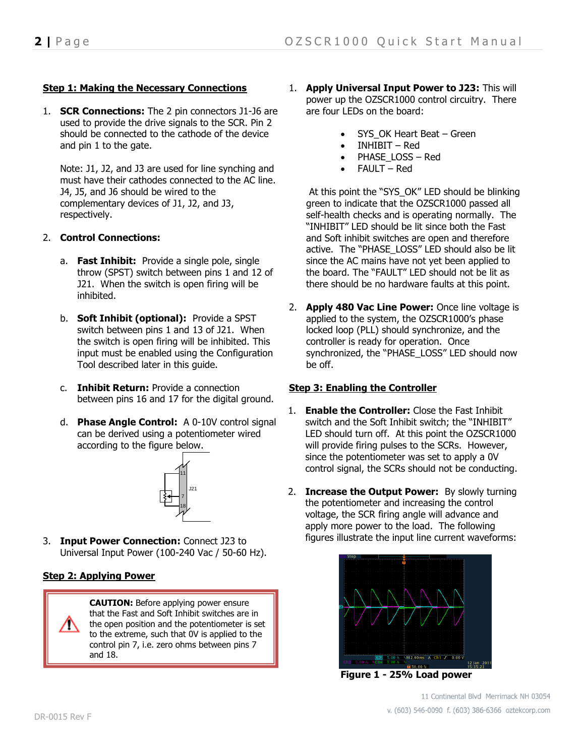### **Step 1: Making the Necessary Connections**

1. **SCR Connections:** The 2 pin connectors J1-J6 are used to provide the drive signals to the SCR. Pin 2 should be connected to the cathode of the device and pin 1 to the gate.

Note: J1, J2, and J3 are used for line synching and must have their cathodes connected to the AC line. J4, J5, and J6 should be wired to the complementary devices of J1, J2, and J3, respectively.

### 2. **Control Connections:**

- a. **Fast Inhibit:** Provide a single pole, single throw (SPST) switch between pins 1 and 12 of J21. When the switch is open firing will be inhibited.
- b. **Soft Inhibit (optional):** Provide a SPST switch between pins 1 and 13 of J21. When the switch is open firing will be inhibited. This input must be enabled using the Configuration Tool described later in this guide.
- c. **Inhibit Return:** Provide a connection between pins 16 and 17 for the digital ground.
- d. **Phase Angle Control:** A 0-10V control signal can be derived using a potentiometer wired according to the figure below.



3. **Input Power Connection:** Connect J23 to Universal Input Power (100-240 Vac / 50-60 Hz).

### **Step 2: Applying Power**

**CAUTION:** Before applying power ensure that the Fast and Soft Inhibit switches are in the open position and the potentiometer is set to the extreme, such that 0V is applied to the control pin 7, i.e. zero ohms between pins 7 and 18.

- 1. **Apply Universal Input Power to J23:** This will power up the OZSCR1000 control circuitry. There are four LEDs on the board:
	- SYS OK Heart Beat Green
	- INHIBIT Red
	- PHASE\_LOSS Red
	- FAULT Red

At this point the "SYS\_OK" LED should be blinking green to indicate that the OZSCR1000 passed all self-health checks and is operating normally. The "INHIBIT" LED should be lit since both the Fast and Soft inhibit switches are open and therefore active. The "PHASE\_LOSS" LED should also be lit since the AC mains have not yet been applied to the board. The "FAULT" LED should not be lit as there should be no hardware faults at this point.

2. **Apply 480 Vac Line Power:** Once line voltage is applied to the system, the OZSCR1000's phase locked loop (PLL) should synchronize, and the controller is ready for operation. Once synchronized, the "PHASE\_LOSS" LED should now be off.

### **Step 3: Enabling the Controller**

- 1. **Enable the Controller:** Close the Fast Inhibit switch and the Soft Inhibit switch; the "INHIBIT" LED should turn off. At this point the OZSCR1000 will provide firing pulses to the SCRs. However, since the potentiometer was set to apply a 0V control signal, the SCRs should not be conducting.
- 2. **Increase the Output Power:** By slowly turning the potentiometer and increasing the control voltage, the SCR firing angle will advance and apply more power to the load. The following figures illustrate the input line current waveforms:



**Figure 1 - 25% Load power**

11 Continental Blvd Merrimack NH 03054 v. (603) 546-0090 f. (603) 386-6366 oztekcorp.com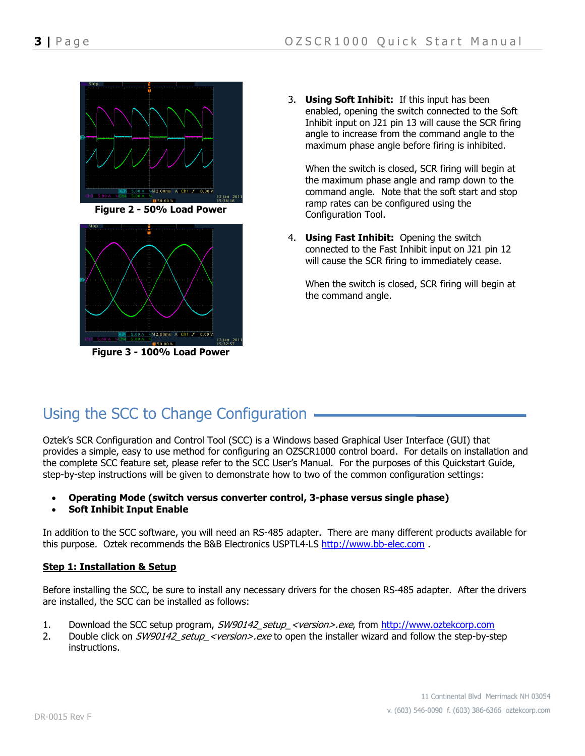



**Figure 3 - 100% Load Power**

3. **Using Soft Inhibit:** If this input has been enabled, opening the switch connected to the Soft Inhibit input on J21 pin 13 will cause the SCR firing angle to increase from the command angle to the maximum phase angle before firing is inhibited.

When the switch is closed, SCR firing will begin at the maximum phase angle and ramp down to the command angle. Note that the soft start and stop ramp rates can be configured using the Configuration Tool.

4. **Using Fast Inhibit:** Opening the switch connected to the Fast Inhibit input on J21 pin 12 will cause the SCR firing to immediately cease.

When the switch is closed, SCR firing will begin at the command angle.

## Using the SCC to Change Configuration

Oztek's SCR Configuration and Control Tool (SCC) is a Windows based Graphical User Interface (GUI) that provides a simple, easy to use method for configuring an OZSCR1000 control board. For details on installation and the complete SCC feature set, please refer to the SCC User's Manual. For the purposes of this Quickstart Guide, step-by-step instructions will be given to demonstrate how to two of the common configuration settings:

- **Operating Mode (switch versus converter control, 3-phase versus single phase)**
- **Soft Inhibit Input Enable**

In addition to the SCC software, you will need an RS-485 adapter. There are many different products available for this purpose. Oztek recommends the B&B Electronics USPTL4-LS [http://www.bb-elec.com](http://www.bb-elec.com/).

### **Step 1: Installation & Setup**

Before installing the SCC, be sure to install any necessary drivers for the chosen RS-485 adapter. After the drivers are installed, the SCC can be installed as follows:

- 1. Download the SCC setup program, SW90142 setup <version>.exe, from [http://www.oztekcorp.com](http://www.oztekcorp.com/)
- 2. Double click on SW90142 setup <version>.exe to open the installer wizard and follow the step-by-step instructions.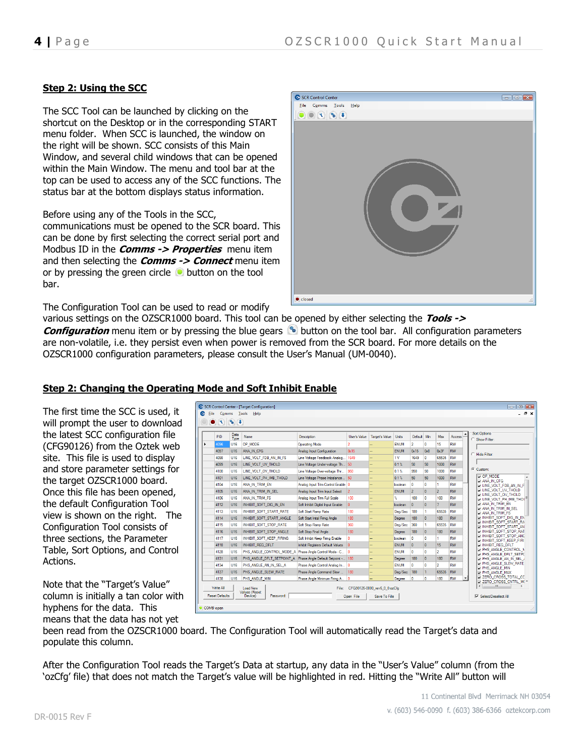### **Step 2: Using the SCC**

The SCC Tool can be launched by clicking on the shortcut on the Desktop or in the corresponding START menu folder. When SCC is launched, the window on the right will be shown. SCC consists of this Main Window, and several child windows that can be opened within the Main Window. The menu and tool bar at the top can be used to access any of the SCC functions. The status bar at the bottom displays status information.

Before using any of the Tools in the SCC, communications must be opened to the SCR board. This can be done by first selecting the correct serial port and Modbus ID in the **Comms -> Properties** menu item and then selecting the **Comms -> Connect** menu item or by pressing the green circle  $\bullet$  button on the tool bar.



The Configuration Tool can be used to read or modify

various settings on the OZSCR1000 board. This tool can be opened by either selecting the **Tools -> Configuration** menu item or by pressing the blue gears **b** button on the tool bar. All configuration parameters are non-volatile, i.e. they persist even when power is removed from the SCR board. For more details on the OZSCR1000 configuration parameters, please consult the User's Manual (UM-0040).

The first time the SCC is used, it will prompt the user to download the latest SCC configuration file (CFG90126) from the Oztek web site. This file is used to display and store parameter settings for the target OZSCR1000 board. Once this file has been opened, the default Configuration Tool view is shown on the right. The Configuration Tool consists of three sections, the Parameter Table, Sort Options, and Control Actions.

Note that the "Target's Value" column is initially a tan color with hyphens for the data. This means that the data has not yet

| PID  | Data<br>Type    | Name                      | <b>Description</b>                   | User's Value   | <b>Target's Value</b> | Units          | Default Min    |                 | Max            | Access    | ▲ | Sort Options<br>C Show Filter:                              |
|------|-----------------|---------------------------|--------------------------------------|----------------|-----------------------|----------------|----------------|-----------------|----------------|-----------|---|-------------------------------------------------------------|
| 4096 | U16             | OP MODE                   | <b>Operating Mode</b>                |                |                       | <b>ENUM</b>    | $\overline{a}$ | 0               | 15             | <b>RW</b> |   |                                                             |
| 4097 | U16             | ANA IN CFG                | Analog Input Configuration           | 0x15           |                       | ENUM           | 0x15           | 0 <sub>x0</sub> | 0x3F           | <b>RW</b> |   |                                                             |
| 4098 | 1116            | LINE VOLT FDB AN IN FS    | Line Voltage Feedback Analog         | 1649           |                       | 1 <sub>V</sub> | 1649           | $\Omega$        | 65535          | <b>RW</b> |   | $C$ Hide Filter:                                            |
| 4099 | U <sub>16</sub> | LINE_VOLT_UV_THOLD        | Line Voltage Under-voltage Th 50     |                |                       | 0.1%           | 50             | 50              | 1000           | <b>RW</b> |   |                                                             |
| 4100 | U16             | LINE VOLT OV THOLD        | Line Voltage Over-voltage Thr        | 950            |                       | 0.1%           | 950            | 50              | 1000           | <b>RW</b> |   | Custom:                                                     |
| 4101 | 1116            | LINE VOLT PH IMB THOLD    | Line Voltage Phase Imbalance         | 50             |                       | 0.1%           | 50             | 50              | 1000           | <b>RW</b> |   | OP MODE<br><b>DANA IN CFG</b>                               |
| 4104 | U16             | ANA IN TRIM EN            | Analog Input Trim Control Enable   0 |                |                       | boolean        | $\mathbf{0}$   | $\mathbf{0}$    | 1.             | <b>RW</b> |   | <b>ET LINE_VOLT_FDB_AN_IN_F</b>                             |
| 4105 | U <sub>16</sub> | ANA IN TRIM IN SEL        | Analog Input Trim Input Select       | $\overline{2}$ |                       | <b>ENUM</b>    | $\overline{2}$ | $\mathbf{0}$    | $\overline{2}$ | <b>RW</b> |   | <b>THE VOLT UV THOLD</b><br><b>THINE VOLT OV THOLD</b>      |
| 4106 | U16             | ANA IN TRIM FS            | Analog Input Trim Full Scale         | 100            |                       | Y.             | 100            | $\overline{0}$  | 100            | <b>RW</b> |   | UNE_VOLT_PH_IMB_THOI                                        |
| 4112 | U16             | INHIBIT_SOFT_DIG_IN_EN    | Soft Inhibit Digital Input Enable    | $\mathbf{0}$   |                       | boolean        | $\Omega$       | $\overline{0}$  | $7^{\circ}$    | <b>RW</b> |   | <b>TANA IN TRIM EN</b><br><b>TANA IN TRIM IN SEL</b>        |
| 4113 | 1116            | INHIBIT_SOFT_START_RATE   | Soft Start Ramp Rate                 | 180            |                       | Deg/Sec        | 180            | т.              | 65535          | <b>RW</b> |   | <b>DI ANA IN TRIM FS</b>                                    |
| 4114 | U16             | INHIBIT_SOFT_START_ANGLE  | Soft Start Inital Firing Angle       | 180            |                       | Degree         | 180            | $\bf{0}$        | 180            | <b>RW</b> |   | IN INHIBIT SOFT DIG IN EN<br><b>THINHIBIT SOFT START RA</b> |
| 4115 | U16             | INHIBIT SOFT STOP RATE    | Soft Stop Ramp Rate                  | 360            |                       | Deg/Sec        | 360            | 1               | 65535          | <b>RW</b> |   | <b>NUMBER SOFT START AN</b>                                 |
| 4116 | 1116            | INHIBIT SOFT STOP ANGLE   | Soft Stop Final Angle                | 180            |                       | Degree         | 180            | $\mathbf{0}$    | 180            | <b>RW</b> |   | <b>TINHIBIT SOFT STOP RAT</b>                               |
| 4117 | 1116            | INHIBIT_SOFT_KEEP_FIRING  | Soft Inhibit Keep Firing Enable      | o.             |                       | boolean        | $\mathbf{0}$   | $\mathbf{0}$    | т.             | <b>RW</b> |   | INHIBIT SOFT STOP AND<br><b>THINHIBIT SOFT KEEP FIRI</b>    |
| 4118 | U <sub>16</sub> | INHIBIT REG DFLT          | Inhibit Registers Default Values     | $\mathbf{0}$   |                       | <b>ENUM</b>    | $\mathbf{0}$   | $\mathbf{0}$    | 15             | <b>RW</b> |   | <b>THINHIBIT REG DFLT</b>                                   |
| 4128 | U16             | PHS ANGLE CONTROL MODE A  | Phase Angle Control Mode - C         |                |                       | ENUM           | $\Omega$       | $\Omega$        | $\overline{2}$ | <b>RW</b> |   | <b>THE ANGLE CONTROL N</b><br>PHS ANGLE DFLT SETP(          |
| 4131 | U16             | PHS ANGLE DFLT SETPOINT A | Phase Angle Default Setpoint -       | 180            |                       | Degree         | 180            | $\bullet$       | 180            | <b>RW</b> |   | PHS ANGLE AN IN SEL                                         |
| 4134 | 1116            | PHS ANGLE AN IN SEL A     | Phase Angle Control Analog In 0      |                |                       | <b>FNUM</b>    | $\mathbf{0}$   | $\overline{0}$  | $\mathcal{P}$  | <b>RW</b> |   | <b>TT PHS ANGLE SLEW RATE</b><br><b>THIS ANGLE MIN</b>      |
| 4137 | U16             | PHS_ANGLE_SLEW_RATE       | Phase Angle Command Slew             | 180            |                       | Deg/Sec        | 180            | $\mathbf{1}$    | 65535          | <b>RW</b> |   | <b>T PHS ANGLE MAX</b>                                      |
| 4138 | U16             | PHS ANGLE MIN             | Phase Angle Minimum Firing A         | ۱o             |                       | Degree         | $\mathbf 0$    | 0               | 180            | <b>RW</b> |   | ZERO CROSS TOTAL CO<br>ZERO_CROSS_CNTRL_M( *                |

### **Step 2: Changing the Operating Mode and Soft Inhibit Enable**

been read from the OZSCR1000 board. The Configuration Tool will automatically read the Target's data and populate this column.

After the Configuration Tool reads the Target's Data at startup, any data in the "User's Value" column (from the 'ozCfg' file) that does not match the Target's value will be highlighted in red. Hitting the "Write All" button will